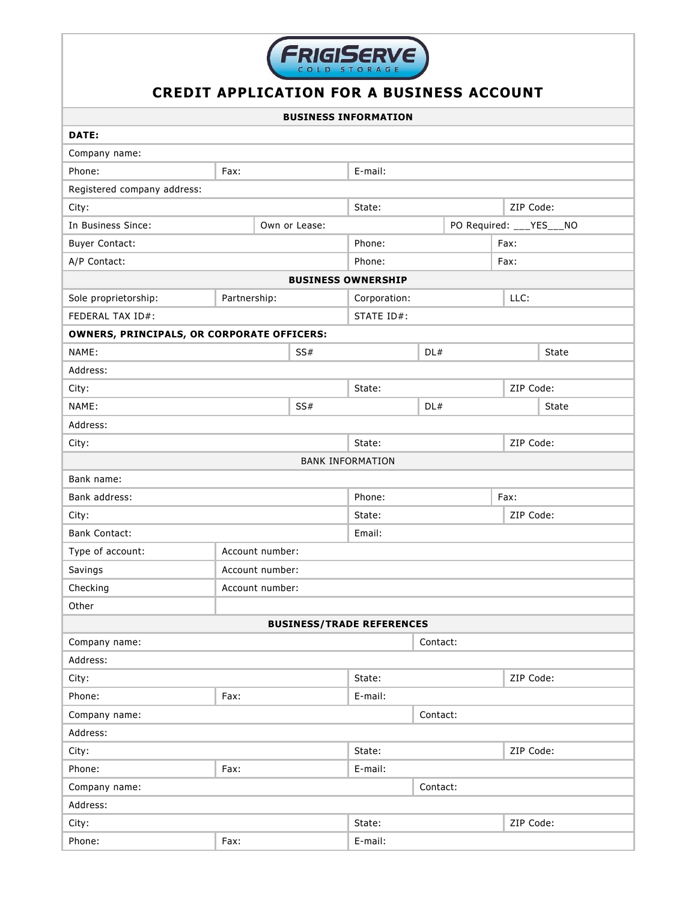

## **CREDIT APPLICATION FOR A BUSINESS ACCOUNT**

| <b>BUSINESS INFORMATION</b>                       |                 |          |                          |                      |           |           |  |
|---------------------------------------------------|-----------------|----------|--------------------------|----------------------|-----------|-----------|--|
| DATE:                                             |                 |          |                          |                      |           |           |  |
| Company name:                                     |                 |          |                          |                      |           |           |  |
| Phone:                                            | Fax:            |          | E-mail:                  |                      |           |           |  |
| Registered company address:                       |                 |          |                          |                      |           |           |  |
| City:                                             |                 |          | State:                   | ZIP Code:            |           |           |  |
| In Business Since:<br>Own or Lease:               |                 |          | PO Required: ___YES___NO |                      |           |           |  |
| <b>Buyer Contact:</b>                             |                 |          | Phone:                   |                      | Fax:      |           |  |
| A/P Contact:                                      |                 |          | Phone:                   |                      | Fax:      |           |  |
| <b>BUSINESS OWNERSHIP</b>                         |                 |          |                          |                      |           |           |  |
| Sole proprietorship:                              | Partnership:    |          |                          | LLC:<br>Corporation: |           |           |  |
| FEDERAL TAX ID#:                                  |                 |          | STATE ID#:               |                      |           |           |  |
| <b>OWNERS, PRINCIPALS, OR CORPORATE OFFICERS:</b> |                 |          |                          |                      |           |           |  |
| NAME:                                             |                 | SS#      | DL#                      |                      |           | State     |  |
| Address:                                          |                 |          |                          |                      |           |           |  |
| City:                                             |                 |          | State:                   |                      |           | ZIP Code: |  |
| NAME:                                             |                 | SS#      |                          | DL#                  |           | State     |  |
| Address:                                          |                 |          |                          |                      |           |           |  |
| City:                                             |                 |          | State:<br>ZIP Code:      |                      |           |           |  |
|                                                   |                 |          | <b>BANK INFORMATION</b>  |                      |           |           |  |
| Bank name:                                        |                 |          |                          |                      |           |           |  |
| Bank address:                                     |                 |          | Phone:<br>Fax:           |                      |           |           |  |
| City:                                             |                 |          | State:<br>ZIP Code:      |                      |           |           |  |
| <b>Bank Contact:</b>                              |                 |          | Email:                   |                      |           |           |  |
| Type of account:                                  | Account number: |          |                          |                      |           |           |  |
| Savings                                           | Account number: |          |                          |                      |           |           |  |
| Checking                                          | Account number: |          |                          |                      |           |           |  |
| Other                                             |                 |          |                          |                      |           |           |  |
| <b>BUSINESS/TRADE REFERENCES</b>                  |                 |          |                          |                      |           |           |  |
| Company name:                                     |                 | Contact: |                          |                      |           |           |  |
| Address:                                          |                 |          |                          |                      |           |           |  |
| City:                                             |                 |          |                          | State:               |           | ZIP Code: |  |
| Phone:                                            | Fax:            |          | E-mail:                  |                      |           |           |  |
| Company name:<br>Contact:                         |                 |          |                          |                      |           |           |  |
| Address:                                          |                 |          |                          |                      |           |           |  |
| City:                                             |                 |          | State:                   |                      | ZIP Code: |           |  |
| Phone:                                            | Fax:            |          | E-mail:                  |                      |           |           |  |
| Contact:<br>Company name:                         |                 |          |                          |                      |           |           |  |
| Address:                                          |                 |          |                          |                      |           |           |  |
| City:                                             |                 |          |                          | State:<br>ZIP Code:  |           |           |  |
| Phone:                                            | Fax:            |          | E-mail:                  |                      |           |           |  |